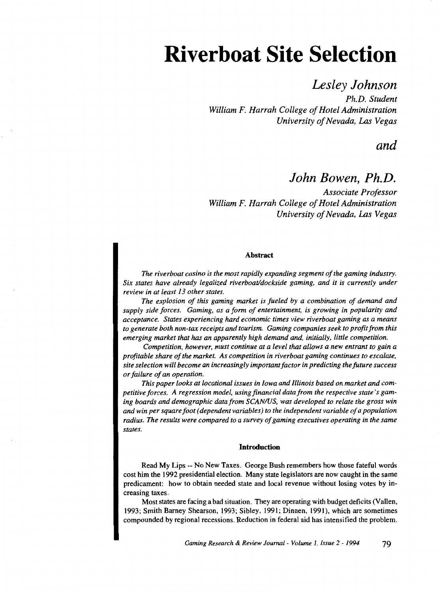# **Riverboat Site Selection**

# *Lesley Johnson*

*Ph.D. Student William F. Harrah College of Hotel Administration University of Nevada, Las Vegas* 

*and* 

# *John Bowen, Ph.D.*

*Associate Professor William F. Harrah College of Hotel Administration University of Nevada, Las Vegas* 

# Abstract

*The riverboat casino is the most rapidly expanding segment of the gaming industry. Six states have already legalized riverboat/dockside gaming, and it is currently under review in at least 13 other states.* 

*The explosion of this gaming market is fueled by a combination of demand and supply side forces. Gaming, as a form of entertainment, is growing in popularity and acceptance. States experiencing hard economic times view riverboat gaming as a means to generate both non-tax receipts and tourism. Gaming companies seek to profit from this emerging market that has an apparently high demand and, initially, little competition.* 

*Competition, however, must continue at a level that allows a new entrant to gain a profitable share of the market. As competition in riverboat gaming continues to escalate, site selection will become an increasingly important factor in predicting the future success or failure of an operation.* 

*This paper looks at locational issues in Iowa and Illinois based on market and competitive forces. A regression model, using financial data from the respective state's gaming boards and demographic data from SCAN/US, was developed to relate the gross win and win per square foot (dependent variables) to the independent variable of a population radius. The results were compared to a survey of gaming executives operating in the same states.* 

# Introduction

Read My Lips -- No New Taxes. George Bush remembers how those fateful words cost him the 1992 presidential election. Many state legislators are now caught in the same predicament: how to obtain needed state and local revenue without losing votes by increasing taxes.

Most states are facing a bad situation. They are operating with budget deficits (Vallen, 1993; Smith Barney Shearson, 1993; Sibley, 1991; Dinnen, 1991), which are sometimes compounded by regional recessions. Reduction in federal aid has intensified the problem.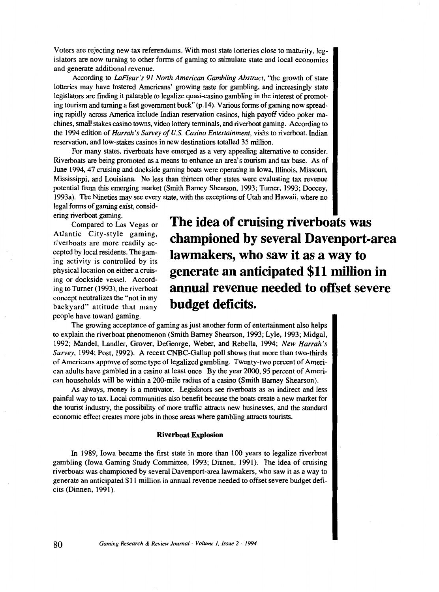Voters are rejecting new tax referendums. With most state lotteries close to maturity, legislators are now turning to other forms of gaming to stimulate state and local economies and generate additional revenue.

According to *LaFleur's 91 North American Gambling Abstract,* "the growth of state lotteries may have fostered Americans' growing taste for gambling, and increasingly state legislators are finding it palatable to legalize quasi-casino gambling in the interest of promoting tourism and turning a fast government buck" (p.14). Various forms of gaming now spreading rapidly across America include Indian reservation casinos, high payoff video poker machines, small stakes casino towns, video lottery terminals, and riverboat gaming. According to the 1994 edition of *Harrah's Survey of U.S. Casino Entertainment,* visits to riverboat, Indian reservation, and low-stakes casinos in new destinations totalled 35 million.

For many states, riverboats have emerged as a very appealing alternative to consider. Riverboats are being promoted as a means to enhance an area's tourism and tax base. As of June 1994, 47 cruising and dockside gaming boats were operating in Iowa, Illinois, Missouri, Mississippi, and Louisiana. No less than thirteen other states were evaluating tax revenue potential from this emerging market (Smith Barney Shearson, 1993; Turner, 1993; Doocey, 1993a). The Nineties may see every state, with the exceptions of Utah and Hawaii, where no legal forms of gaming exist, consid-

ering riverboat gaming.

Compared to Las Vegas or Atlantic City-style gaming, riverboats are more readily accepted by local residents. The gaming activity is controlled by its physical location on either a cruising or dockside vessel. According to Turner (1993), the riverboat concept neutralizes the "not in my backyard" attitude that many people have toward gaming.

**The idea of cruising riverboats was championed by several Davenport-area lawmakers, who saw it as a way to generate an anticipated \$11 million in annual revenue needed to offset severe budget deficits.** 

The growing acceptance of gaming as just another form of entertainment also helps to explain the riverboat phenomenon (Smith Barney Shearson, 1993; Lyle, 1993; Midgal, 1992; Mandel, Landler, Grover, DeGeorge, Weber, and Rebella, 1994; *New Harrah's Survey,* 1994; Post, 1992). A recent CNBC-Gallup poll shows that more than two-thirds of Americans approve of some type of legalized gambling. Twenty-two percent of American adults have gambled in a casino at least once By the year 2000, 95 percent of American households will be within a 200-mile radius of a casino (Smith Barney Shearson).

As always, money is a motivator. Legislators see riverboats as an indirect and less painful way to tax. Local communities also benefit because the boats create a new market for the tourist industry, the possibility of more traffic attracts new businesses, and the standard economic effect creates more jobs in those areas where gambling attracts tourists.

## **Riverboat Explosion**

In 1989, Iowa became the first state in more than 100 years to legalize riverboat gambling (Iowa Gaming Study Committee, 1993; Dinnen, 1991). The idea of cruising riverboats was championed by several Davenport-area lawmakers, who saw it as a way to generate an anticipated \$11 million in annual revenue needed to offset severe budget deficits (Dinnen, 1991 ).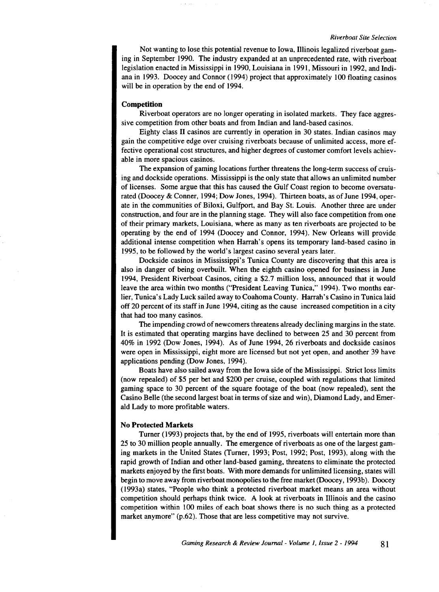Not wanting to lose this potential revenue to Iowa, Illinois legalized riverboat gaming in September 1990. The industry expanded at an unprecedented rate, with riverboat legislation enacted in Mississippi in 1990, Louisiana in 1991, Missouri in 1992, and Indiana in 1993. Doocey and Connor (1994) project that approximately 100 floating casinos will be in operation by the end of 1994.

# **Competition**

Riverboat operators are no longer operating in isolated markets. They face aggressive competition from other boats and from Indian and land-based casinos.

Eighty class II casinos are currently in operation in 30 states. Indian casinos may gain the competitive edge over cruising riverboats because of unlimited access, more effective operational cost structures, and higher degrees of customer comfort levels achievable in more spacious casinos.

The expansion of gaming locations further threatens the long-term success of cruising and dockside operations. Mississippi is the only state that allows an unlimited number of licenses. Some argue that this has caused the Gulf Coast region to become oversaturated (Doocey & Conner, 1994; Dow Jones, 1994). Thirteen boats, as of June 1994, operate in the communities of Biloxi, Gulfport, and Bay St. Louis. Another three are under construction, and four are in the planning stage. They will also face competition from one of their primary markets, Louisiana, where as many as ten riverboats are projected to be operating by the end of 1994 (Doocey and Connor, 1994). New Orleans will provide additional intense competition when Harrah's opens its temporary land-based casino in 1995, to be followed by the world's largest casino several years later.

Dockside casinos in Mississippi's Tunica County are discovering that this area is also in danger of being overbuilt. When the eighth casino opened for business in June 1994, President Riverboat Casinos, citing a \$2.7 million loss, announced that it would leave the area within two months ("President Leaving Tunica," 1994). Two months earlier, Tunica's Lady Luck sailed away to Coahoma County. Harrah's Casino in Tunica laid off 20 percent of its staff in June 1994, citing as the cause increased competition in a city that had too many casinos.

The impending crowd of newcomers threatens already declining margins in the state. It is estimated that operating margins have declined to between 25 and 30 percent from 40% in 1992 (Dow Jones, 1994). As of June 1994, 26 riverboats and dockside casinos were open in Mississippi, eight more are licensed but not yet open, and another 39 have applications pending (Dow Jones, 1994).

Boats have also sailed away from the Iowa side of the Mississippi. Strict loss limits (now repealed) of \$5 per bet and \$200 per cruise, coupled with regulations that limited gaming space to 30 percent of the square footage of the boat (now repealed), sent the Casino Belle (the second largest boat in terms of size and win), Diamond Lady, and Emerald Lady to more profitable waters.

# **No Protected Markets**

Turner (1993) projects that, by the end of 1995, riverboats will entertain more than 25 to 30 million people annually. The emergence of riverboats as one of the largest gaming markets in the United States (Turner, 1993; Post, 1992; Post, 1993), along with the rapid growth of Indian and other land-based gaming, threatens to eliminate the protected markets enjoyed by the first boats. With more demands for unlimited licensing, states will begin to move away from riverboat monopolies to the free market (Doocey, 1993b). Doocey (1993a) states, "People who think a protected riverboat market means an area without competition should perhaps think twice. A look at riverboats in Illinois and the casino competition within 100 miles of each boat shows there is no such thing as a protected market anymore" (p.62). Those that are less competitive may not survive.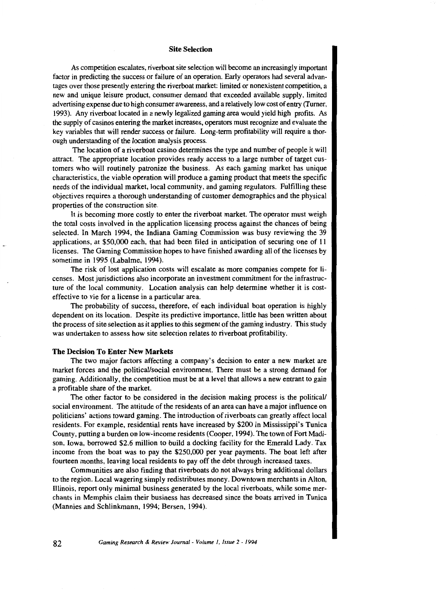## **Site Selection**

As competition escalates, riverboat site selection will become an increasingly important factor in predicting the success or failure of an operation. Early operators had several advantages over those presently entering the riverboat market: limited or nonexistent competition, a new and unique leisure product, consumer demand that exceeded available supply, limited advertising expense due to high consumer awareness, and a relatively low cost of entry (Turner, 1993). Any riverboat located in a newly legalized gaming area would yield high profits. As the supply of casinos entering the market increases, operators must recognize and evaluate the key variables that will render success or failure. Long-term profitability will require a thorough understanding of the location analysis process.

The location of a riverboat casino determines the type and number of people it will attract. The appropriate location provides ready access to a large number of target customers who will routinely patronize the business. As each gaming market has unique characteristics, the viable operation will produce a gaming product that meets the specific needs of the individual market, local community, and gaming regulators. Fulfilling these objectives requires a thorough understanding of customer demographics and the physical properties of the construction site.

It is becoming more costly to enter the riverboat market. The operator must weigh the total costs involved in the application licensing process against the chances of being selected. In March 1994, the Indiana Gaming Commission was busy reviewing the 39 applications, at \$50,000 each, that had been filed in anticipation of securing one of 11 licenses. The Gaming Commission hopes to have finished awarding all of the licenses by sometime in 1995 (Labalme, 1994).

The risk of lost application costs will escalate as more companies compete for licenses. Most jurisdictions also incorporate an investment commitment for the infrastructure of the local community. Location analysis can help determine whether it is costeffective to vie for a license in a particular area.

The probability of success, therefore, of each individual boat operation is highly dependent on its location. Despite its predictive importance, little has been written about the process of site selection as it applies to this segment of the gaming industry. This study was undertaken to assess how site selection relates to riverboat profitability.

# **The Decision To Enter New Markets**

The two major factors affecting a company's decision to enter a new market are market forces and the political/social environment. There must be a strong demand for gaming. Additionally, the competition must be at a level that allows a new entrant to gain a profitable share of the market.

The other factor to be considered in the decision making process is the political/ social environment. The attitude of the residents of an area can have a major influence on politicians' actions toward gaming. The introduction of riverboats can greatly affect local residents. For example, residential rents have increased by \$200 in Mississippi's Tunica County, putting a burden on low-income residents (Cooper, 1994). The town of Fort Madison, Iowa, borrowed \$2.6 million to build a docking facility for the Emerald Lady. Tax income from the boat was to pay the \$250,000 per year payments. The boat left after fourteen months, leaving local residents to pay off the debt through increased taxes.

Communities are also finding that riverboats do not always bring additional dollars to the region. Local wagering simply redistributes money. Downtown merchants in Alton, Illinois, report only minimal business generated by the local riverboats, while some merchants in Memphis claim their business has decreased since the boats arrived in Tunica (Mannies and Schlinkmann, 1994; Bersen, 1994).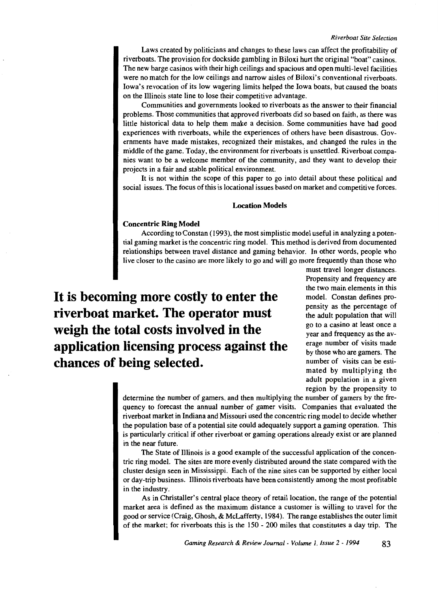Laws created by politicians and changes to these laws can affect the profitability of riverboats. The provision for dockside gambling in Biloxi hurt the original "boat" casinos. The new barge casinos with their high ceilings and spacious and open multi-level facilities were no match for the low ceilings and narrow aisles of Biloxi's conventional riverboats. Iowa's revocation of its low wagering limits helped the Iowa boats, but caused the boats on the Illinois state line to lose their competitive advantage.

Communities and governments looked to riverboats as the answer to their financial problems. Those communities that approved riverboats did so based on faith, as there was little historical data to help them make a decision. Some communities have had good experiences with riverboats, while the experiences of others have been disastrous. Governments have made mistakes, recognized their mistakes, and changed the rules in the middle of the game. Today, the environment for riverboats is unsettled. Riverboat companies want to be a welcome member of the community, and they want to develop their projects in a fair and stable political environment.

It is not within the scope of this paper to go into detail about these political and social issues. The focus of this is locational issues based on market and competitive forces.

#### **Location Models**

#### **Concentric Ring Model**

According to Constan (1993), the most simplistic model useful in analyzing a potential gaming market is the concentric ring model. This method is derived from documented relationships between travel distance and gaming behavior. In other words, people who live closer to the casino are more likely to go and will go more frequently than those who

**It is becoming more costly to enter the riverboat market. The operator must weigh the total costs involved in the application licensing process against the chances of being selected.** 

must travel longer distances. Propensity and frequency are the two main elements in this model. Constan defines propensity as the percentage of the adult population that will go to a casino at least once a year and frequency as the average number of visits made by those who are garners. The number of visits can be estimated by multiplying the adult population in a given region by the propensity to

determine the number of gamers, and then multiplying the number of gamers by the frequency to forecast the annual number of gamer visits. Companies that evaluated the riverboat market in Indiana and Missouri used the concentric ring model to decide whether the population base of a potential site could adequately support a gaming operation. This is particularly critical if other riverboat or gaming operations already exist or are planned in the near future.

The State of Illinois is a good example of the successful application of the concentric ring model. The sites are more evenly distributed around the state compared with the cluster design seen in Mississippi. Each of the nine sites can be supported by either local or day-trip business. Illinois riverboats have been consistently among the most profitable in the industry.

As in Christaller's central place theory of retail location, the range of the potential market area is defined as the maximum distance a customer is willing to travel for the good or service (Craig, Ghosh, & McLafferty, 1984 ). The range establishes the outer limit of the market; for riverboats this is the 150 - 200 miles that constitutes a day trip. The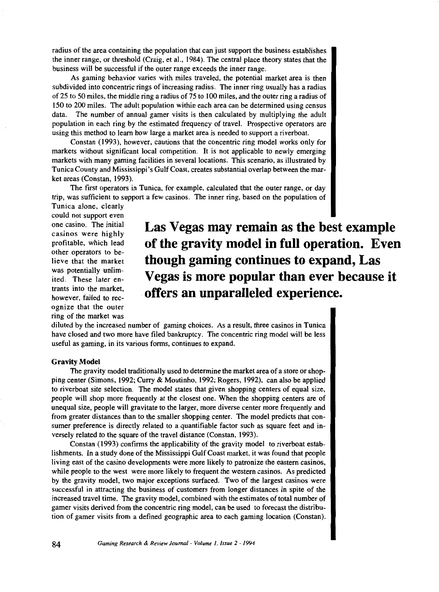radius of the area containing the population that can just support the business establishes the inner range, or threshold (Craig, et al., 1984 ). The central place theory states that the business will be successful if the outer range exceeds the inner range.

As gaming behavior varies with miles traveled, the potential market area is then subdivided into concentric rings of increasing radius. The inner ring usually has a radius of 25 to 50 miles, the middle ring a radius of 75 to 100 miles, and the outer ring a radius of 150 to 200 miles. The adult population within each area can be determined using census data. The number of annual gamer visits is then calculated by multiplying the adult population in each ring by the estimated frequency of travel. Prospective operators are using this method to learn how large a market area is needed to support a riverboat.

Constan (1993), however, cautions that the concentric ring model works only for markets without significant local competition. It is not applicable to newly emerging markets with many gaming facilities in several locations. This scenario, as illustrated by Tunica County and Mississippi's Gulf Coast, creates substantial overlap between the market areas (Constan, 1993).

The first operators in Tunica, for example, calculated that the outer range, or day trip, was sufficient to support a few casinos. The inner ring, based on the population of

Tunica alone, clearly could not support even one casino. The initial casinos were highly profitable, which lead other operators to believe that the market was potentially unlimited. These later entrants into the market, however, failed to recognize that the outer ring of the market was

**Las Vegas may remain as the best example of the gravity model in full operation. Even though gaming continues to expand, Las Vegas is more popular than ever because it offers an unparalleled experience.** 

diluted by the increased number of gaming choices. As a result, three casinos in Tunica have closed and two more have filed bankruptcy. The concentric ring model will be less useful as gaming, in its various forms, continues to expand.

# **Gravity Model**

The gravity model traditionally used to determine the market area of a store or shopping center (Simons, 1992; Curry & Moutinho, 1992; Rogers, 1992), can also be applied to riverboat site selection. The model states that given shopping centers of equal size, people will shop more frequently at the closest one. When the shopping centers are of unequal size, people will gravitate to the larger, more diverse center more frequently and from greater distances than to the smaller shopping center. The model predicts that consumer preference is directly related to a quantifiable factor such as square feet and inversely related to the square of the travel distance (Constan, 1993).

Constan (1993) confirms the applicability of the gravity model to riverboat establishments. In a study done of the Mississippi Gulf Coast market, it was found that people living east of the casino developments were more likely to patronize the eastern casinos, while people to the west were more likely to frequent the western casinos. As predicted by the gravity model, two major exceptions surfaced. Two of the largest casinos were successful in attracting the business of customers from longer distances in spite of the increased travel time. The gravity model, combined with the estimates of total number of gamer visits derived from the concentric ring model, can be used to forecast the distribution of gamer visits from a defined geographic area to each gaming location (Constan).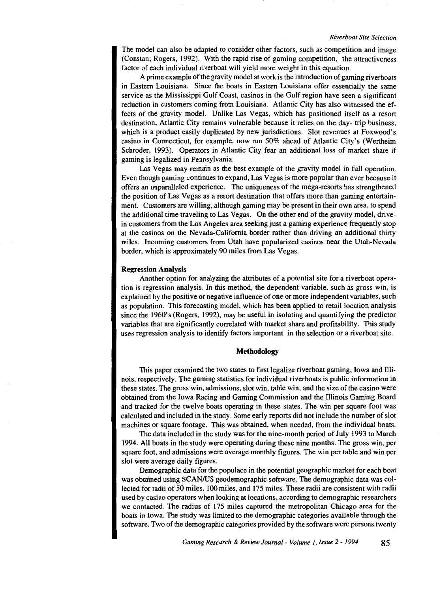The model can also be adapted to consider other factors, such as competition and image (Constan; Rogers, 1992). With the rapid rise of gaming competition, the attractiveness factor of each individual riverboat will yield more weight in this equation.

A prime example of the gravity model at work is the introduction of gaming riverboats in Eastern Louisiana. Since the boats in Eastern Louisiana offer essentially the same service as the Mississippi Gulf Coast, casinos in the Gulf region have seen a significant reduction in customers coming from Louisiana. Atlantic City has also witnessed the effects of the gravity model. Unlike Las Vegas, which has positioned itself as a resort destination, Atlantic City remains vulnerable because it relies on the day- trip business, which is a product easily duplicated by new jurisdictions. Slot revenues at Foxwood's casino in Connecticut, for example, now run 50% ahead of Atlantic City's (Wertheim Schroder, 1993). Operators in Atlantic City fear an additional loss of market share if gaming is legalized in Pennsylvania.

Las Vegas may remain as the best example of the gravity model in full operation. Even though gaming continues to expand, Las Vegas is more popular than ever because it offers an unparalleled experience. The uniqueness of the mega-resorts has strengthened the position of Las Vegas as a resort destination that offers more than gaming entertainment. Customers are willing, although gaming may be present in their own area, to spend the additional time traveling to Las Vegas. On the other end of the gravity model, drivein customers from the Los Angeles area seeking just a gaming experience frequently stop at the casinos on the Nevada-California border rather than driving an additional thirty miles. Incoming customers from Utah have popularized casinos near the Utah-Nevada border, which is approximately 90 miles from Las Vegas.

# Regression Analysis

Another option for analyzing the attributes of a potential site for a riverboat operation is regression analysis. In this method, the dependent variable, such as gross win, is explained by the positive or negative influence of one or more independent variables, such as population. This forecasting model, which has been applied to retail location analysis since the 1960's (Rogers, 1992), may be useful in isolating and quantifying the predictor variables that are significantly correlated with market share and profitability. This study uses regression analysis to identify factors important in the selection or a riverboat site.

#### Methodology

This paper examined the two states to first legalize riverboat gaming, Iowa and Illinois, respectively. The gaming statistics for individual riverboats is public information in these states. The gross win, admissions, slot win, table win, and the size of the casino were obtained from the Iowa Racing and Gaming Commission and the Illinois Gaming Board and tracked for the twelve boats operating in these states. The win per square foot was calculated and included in the study. Some early reports did not include the number of slot machines or square footage. This was obtained, when needed, from the individual boats.

The data included in the study was for the nine-month period of July 1993 to March 1994. All boats in the study were operating during these nine months. The gross win, per square foot, and admissions were average monthly figures. The win per table and win per slot were average daily figures.

Demographic data for the populace in the potential geographic market for each boat was obtained using SCAN/US geodemographic software. The demographic data was collected for radii of 50 miles, 100 miles, and 175 miles. These radii are consistent with radii used by casino operators when looking at locations, according to demographic researchers we contacted. The radius of 175 miles captured the metropolitan Chicago area for the boats in Iowa. The study was limited to the demographic categories available through the software. Two of the demographic categories provided by the software were persons twenty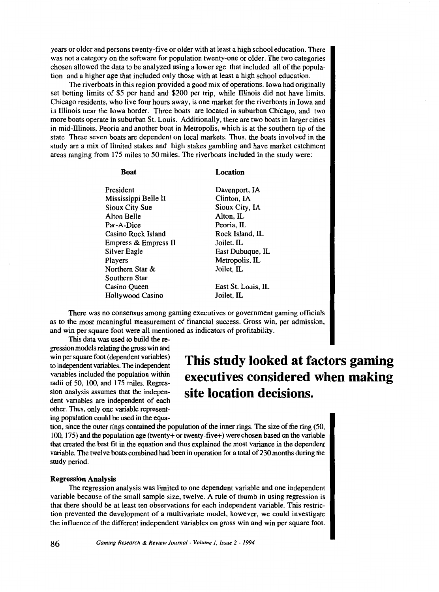years or older and persons twenty-five or older with at least a high school education. There was not a category on the software for population twenty-one or older. The two categories chosen allowed the data to be analyzed using a lower age that included all of the population and a higher age that included only those with at least a high school education.

The riverboats in this region provided a good mix of operations. Iowa had originally set betting limits of \$5 per hand and \$200 per trip, while Illinois did not have limits. Chicago residents, who live four hours away, is one market for the riverboats in Iowa and in Illinois near the Iowa border. Three boats are located in suburban Chicago, and two more boats operate in suburban St. Louis. Additionally, there are two boats in larger cities in mid-Illinois, Peoria and another boat in Metropolis, which is at the southern tip of the state These seven boats are dependent on local markets. Thus, the boats involved in the study are a mix of limited stakes and high stakes gambling and have market catchment areas ranging from 175 miles to 50 miles. The riverboats included in the study were:

#### **Boat**

# President Mississippi Belle II Sioux City Sue Alton Belle Par-A-Dice Casino Rock Island Empress & Empress II Silver Eagle Players Northern Star & Southern Star Casino Queen Hollywood Casino

**Location** 

Davenport, lA Clinton, lA Sioux City, lA Alton, IL Peoria, IL Rock Island, IL Joilet, IL East Dubuque, IL Metropolis, IL Joilet, IL

East St. Louis, IL Joilet, IL

There was no consensus among gaming executives or government gaming officials as to the most meaningful measurement of financial success. Gross win, per admission, and win per square foot were all mentioned as indicators of profitability.

This data was used to build the re-

gression models relating the gross win and win per square foot (dependent variables) to independent variables. The independent variables included the population within radii of 50, 100, and 175 miles. Regression analysis assumes that the independent variables are independent of each other. Thus, only one variable representing population could be used in the equa-

# **This study looked at factors gaming executives considered when making site location decisions.**

tion, since the outer rings contained the population of the inner rings. The size of the ring (50, 100, 175) and the population age (twenty+ or twenty-five+) were chosen based on the variable that created the best fit in the equation and thus explained the most variance in the dependent variable. The twelve boats combined had been in operation for a total of 230 months during the study period.

# **Regression Analysis**

The regression analysis was limited to one dependent variable and one independent variable because of the small sample size, twelve. A rule of thumb in using regression is that there should be at least ten observations for each independent variable. This restriction prevented the development of a multivariate model, however, we could investigate the influence of the different independent variables on gross win and win per square foot.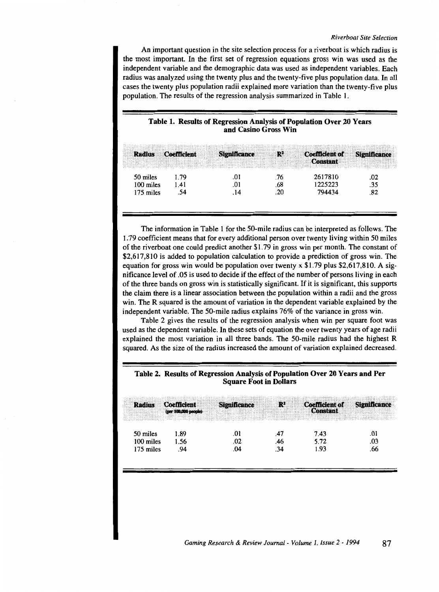An important question in the site selection process for a riverboat is which radius is the most important. In the first set of regression equations gross win was used as the independent variable and the demographic data was used as independent variables. Each radius was analyzed using the twenty plus and the twenty-five plus population data. In all cases the twenty plus population radii explained more variation than the twenty-five plus population. The results of the regression analysis summarized in Table I.

# Table 1. Results of Regression Analysis of Population Over 20 Years and Casino Gross Win

| <b>Radius</b> | <b>Coefficient</b> | <b>Significance</b> | R   | <b>Coefficient of</b><br><b>Constant</b> | <b>Significance</b> |
|---------------|--------------------|---------------------|-----|------------------------------------------|---------------------|
| 50 miles      | 1.79               | .01                 | .76 | 2617810                                  | .02                 |
| 100 miles     | 1.41               | .OI                 | .68 | 1225223                                  | .35                 |
| 175 miles     | .54                | . 14                | .20 | 794434                                   | .82                 |
|               |                    |                     |     |                                          |                     |

The information in Table 1 for the 50-mile radius can be interpreted as follows. The 1. 79 coefficient means that for every additional person over twenty living within 50 miles of the riverboat one could predict another \$1.79 in gross win per month. The constant of \$2,617,810 is added to population calculation to provide a prediction of gross win. The equation for gross win would be population over twenty  $x$  \$1.79 plus \$2,617,810. A significance level of .05 is used to decide if the effect of the number of persons living in each of the three bands on gross win is statistically significant. If it is significant, this supports the claim there is a linear association between the population within a radii and the gross win. The R squared is the amount of variation in the dependent variable explained by the independent variable. The 50-mile radius explains 76% of the variance in gross win.

Table 2 gives the results of the regression analysis when win per square foot was used as the dependent variable. In these sets of equation the over twenty years of age radii explained the most variation in all three bands. The 50-mile radius had the highest R squared. As the size of the radius increased the amount of variation explained decreased.

# Radius Coefficient · Significance · R<sup>2</sup> Coefficient of Significance (per 180,000 people) Constant 50 miles 1.89 .01 .01 .47 7.43 .01 100 miles 1.56 .02 .46 5.72 .03 175 miles 0.94 .04 .04 .04 .04 .04 .04

# Table 2. Results of Regression Analysis of Population Over 20 Years and Per Square Foot in Dollars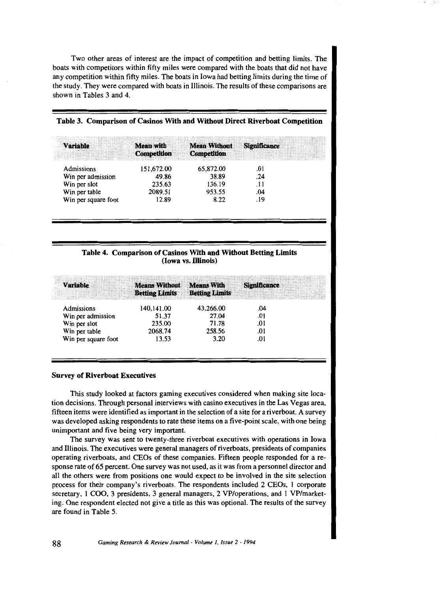Two other areas of interest are the impact of competition and betting limits. The boats with competitors within fifty miles were compared with the boats that did not have any competition within fifty miles. The boats in Iowa had betting limits during the time of the study. They were compared with boats in Illinois. The results of these comparisons are shown in Tables 3 and 4.

|  | Table 3. Comparison of Casinos With and Without Direct Riverboat Competition |  |  |  |  |  |  |
|--|------------------------------------------------------------------------------|--|--|--|--|--|--|
|--|------------------------------------------------------------------------------|--|--|--|--|--|--|

| <b>Variable</b>     | <b>Mean with</b>   | <b>Mean Without</b> | <b>Significance</b> |  |
|---------------------|--------------------|---------------------|---------------------|--|
|                     | <b>Competition</b> | <b>Competition</b>  |                     |  |
| Admissions          | 151,672.00         | 65,872.00           | .01                 |  |
| Win per admission   | 49.86              | 38.89               | .24                 |  |
| Win per slot        | 235.63             | 136.19              | .11                 |  |
| Win per table       | 2089.51            | 953.55              | .04                 |  |
| Win per square foot | 12.89              | 8.22                | .19                 |  |
|                     |                    |                     |                     |  |

# Table 4. Comparison of Casinos With and Without Betting Limits (Iowa vs. Illinois)

| <b>Betting Limits</b> | <b>Betting Limits</b> |                   |                     |
|-----------------------|-----------------------|-------------------|---------------------|
| 140.141.00            | 43.266.00             | .04               |                     |
| 51.37                 | 27.04                 | .01               |                     |
| 235.00                | 71.78                 | .01               |                     |
| 2068.74               | 258.56                | .01               |                     |
| 13.53                 | 3.20                  | .01               |                     |
|                       | <b>Means Without</b>  | <b>Means With</b> | <b>Significance</b> |

#### Survey of Riverboat Executives

This study looked at factors gaming executives considered when making site location decisions. Through personal interviews with casino executives in the Las Vegas area, fifteen items were identified as important in the selection of a site for a riverboat. A survey was developed asking respondents to rate these items on a five-point scale, with one being unimportant and five being very important.

The survey was sent to twenty-three riverboat executives with operations in Iowa and Illinois. The executives were general managers of riverboats, presidents of companies operating riverboats, and CEOs of these companies. Fifteen people responded for a response rate of 65 percent. One survey was not used, as it was from a personnel director and all the others were from positions one would expect to be involved in the site selection process for their company's riverboats. The respondents included 2 CEOs, 1 corporate secretary, 1 COO, 3 presidents, 3 general managers, 2 VP/operations, and 1 VP/marketing. One respondent elected not give a title as this was optional. The results of the survey are found in Table 5.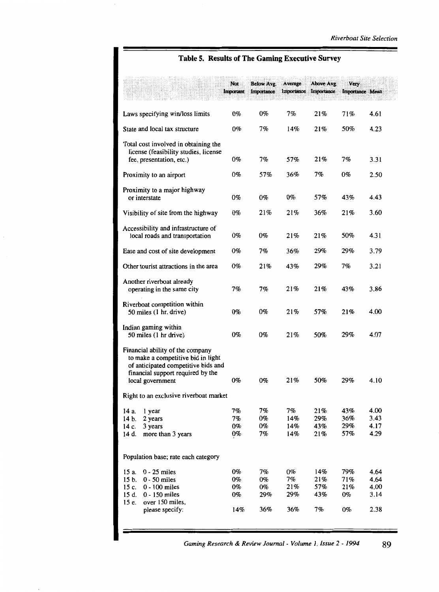# **Table 5. Results of The Gaming Executive Survey**

|                                                                                                                                                                        | Not<br>Important               | Below Avg.<br>Importance        | Average<br>Importance         | Above Avg.<br>Importance       | Very<br>Importance Mean       |                                      |  |
|------------------------------------------------------------------------------------------------------------------------------------------------------------------------|--------------------------------|---------------------------------|-------------------------------|--------------------------------|-------------------------------|--------------------------------------|--|
| Laws specifying win/loss limits                                                                                                                                        | 0%                             | 0%                              | 7%                            | 21%                            | 71%                           | 4.61                                 |  |
| State and local tax structure                                                                                                                                          |                                | 7%                              | 14%                           | 21%                            | 50%                           | 4.23                                 |  |
| Total cost involved in obtaining the<br>license (feasibility studies, license<br>fee, presentation, etc.)                                                              | 0%                             | 7%                              | 57%                           | 21%                            | 7%                            | 3.31                                 |  |
| Proximity to an airport                                                                                                                                                | 0%                             | 57%                             | 36%                           | 7%                             | $0\%$                         | 2.50                                 |  |
| Proximity to a major highway<br>or interstate                                                                                                                          |                                | 0%                              | 0%                            | 57%                            | 43%                           | 4.43                                 |  |
| Visibility of site from the highway                                                                                                                                    | 0%                             | 21%                             | 21%                           | 36%                            | 21%                           | 3.60                                 |  |
| Accessibility and infrastructure of<br>local roads and transportation                                                                                                  |                                | 0%                              | 21%                           | 21%                            | 50%                           | 4.31                                 |  |
| Ease and cost of site development                                                                                                                                      | 0%                             | 7%                              | 36%                           | 29%                            | 29%                           | 3.79                                 |  |
| Other tourist attractions in the area                                                                                                                                  | 0%                             | 21%                             | 43%                           | 29%                            | 7%                            | 3.21                                 |  |
| Another riverboat already<br>operating in the same city                                                                                                                |                                | 7%                              | 21%                           | 21%                            | 43%                           | 3.86                                 |  |
| Riverboat competition within<br>50 miles (1 hr. drive)                                                                                                                 |                                | 0%                              | 21%                           | 57%                            | 21%                           | 4.00                                 |  |
| Indian gaming within<br>50 miles (1 hr drive)                                                                                                                          | 0%                             | 0%                              | 21%                           | 50%                            | 29%                           | 4.07                                 |  |
| Financial ability of the company<br>to make a competitive bid in light<br>of anticipated competitive bids and<br>financial support required by the<br>local government |                                | 0%                              | 21%                           | 50%                            | 29%                           | 4.10                                 |  |
| Right to an exclusive riverboat market                                                                                                                                 |                                |                                 |                               |                                |                               |                                      |  |
| 14 a.<br>l year<br>14 b.<br>2 years<br>14 c.<br>3 years<br>14 d.<br>more than 3 years                                                                                  | 7%<br>7%<br>0%<br>0%           | 7%<br>0%<br>$0\%$<br>7%         | 7%<br>14%<br>14%<br>14%       | 21%<br>29%<br>43%<br>21%       | 43%<br>36%<br>29%<br>57%      | 4.00<br>3.43<br>4.17<br>4.29         |  |
| Population base; rate each category                                                                                                                                    |                                |                                 |                               |                                |                               |                                      |  |
| $15a$ .<br>$0 - 25$ miles<br>$15b$ .<br>$0 - 50$ miles<br>$15c$ .<br>$0 - 100$ miles<br>15d.<br>$0 - 150$ miles<br>over 150 miles,<br>15 e.<br>please specify:         | 0%<br>$0\%$<br>0%<br>0%<br>14% | 7%<br>$0\%$<br>0%<br>29%<br>36% | 0%<br>7%<br>21%<br>29%<br>36% | 14%<br>21%<br>57%<br>43%<br>7% | 79%<br>71%<br>21%<br>0%<br>0% | 4.64<br>4.64<br>4.00<br>3.14<br>2.38 |  |

*Gaming Research* & *Review Journal- Volume 1, Issue* 2 - *1994* 89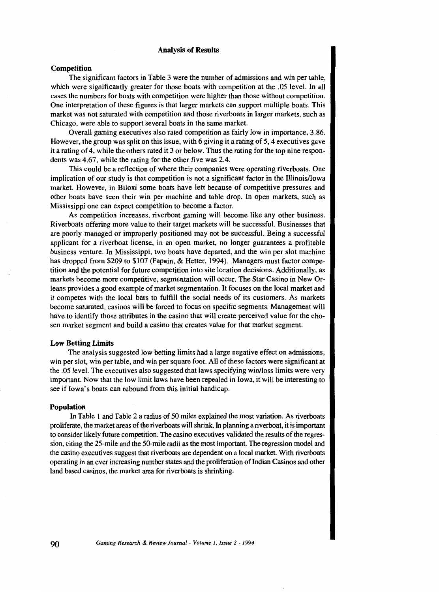## **Analysis of Results**

# **Competition**

The significant factors in Table 3 were the number of admissions and win per table, which were significantly greater for those boats with competition at the .05 level. In all cases the numbers for boats with competition were higher than those without competition. One interpretation of these figures is that larger markets can support multiple boats. This market was not saturated with competition and those riverboats in larger markets, such as Chicago, were able to support several boats in the same market.

Overall gaming executives also rated competition as fairly low in importance, 3.86. However, the group was split on this issue, with 6 giving it a rating of 5, 4 executives gave it a rating of 4, while the others rated it 3 or below. Thus the rating for the top nine respondents was 4.67, while the rating for the other five was 2.4.

This could be a reflection of where their companies were operating riverboats. One implication of our study is that competition is not a significant factor in the Illinois/Iowa market. However, in Biloxi some boats have left because of competitive pressures and other boats have seen their win per machine and table drop. In open markets, such as Mississippi one can expect competition to become a factor.

As competition increases, riverboat gaming will become like any other business. Riverboats offering more value to their target markets will be successful. Businesses that are poorly managed or improperly positioned may not be successful. Being a successful applicant for a riverboat license, in an open market, no longer guarantees a profitable business venture. In Mississippi, two boats have departed, and the win per slot machine has dropped from \$209 to \$107 (Papain, & Hetter, 1994). Managers must factor competition and the potential for future competition into site location decisions. Additionally, as markets become more competitive, segmentation will occur. The Star Casino in New Or-Jeans provides a good example of market segmentation. It focuses on the local market and it competes with the local bars to fulfill the social needs of its customers. As markets become saturated, casinos will be forced to focus on specific segments. Management will have to identify those attributes in the casino that will create perceived value for the chosen market segment and build a casino that creates value for that market segment.

## **Low Betting Limits**

The analysis suggested low betting limits had a large negative effect on admissions, win per slot, win per table, and win per square foot. All of these factors were significant at the .05 level. The executives also suggested that laws specifying win/loss limits were very important. Now that the low limit Jaws have been repealed in Iowa, it will be interesting to see if Iowa's boats can rebound from this initial handicap.

## **Population**

In Table l and Table 2 a radius of 50 miles explained the most variation. As riverboats proliferate, the market areas of the riverboats will shrink. In planning a riverboat, it is important to consider likely future competition. The casino executives validated the results of the regression, citing the 25-mile and the 50-mile radii as the most important. The regression model and the casino executives suggest that riverboats are dependent on a local market. With riverboats operating in an ever increasing number states and the proliferation of Indian Casinos and other land based casinos, the market area for riverboats is shrinking.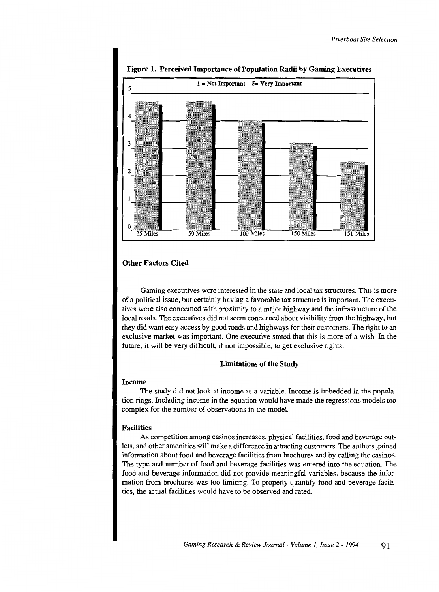

Figure 1. Perceived Importance of Population Radii by Gaming Executives

# Other Factors Cited

Gaming executives were interested in the state and local tax structures. This is more of a political issue, but certainly having a favorable tax structure is important. The executives were also concerned with proximity to a major highway and the infrastructure of the local roads. The executives did not seem concerned about visibility from the highway, but they did want easy access by good roads and highways for their customers. The right to an exclusive market was important. One executive stated that this is more of a wish. In the future, it will be very difficult, if not impossible, to get exclusive rights.

# Limitations of the Study

#### Income

The study did not look at income as a variable. Income is imbedded in the population rings. Including income in the equation would have made the regressions models too complex for the number of observations in the model.

# Facilities

As competition among casinos increases, physical facilities, food and beverage outlets, and other amenities will make a difference in attracting customers. The authors gained information about food and beverage facilities from brochures and by calling the casinos. The type and number of food and beverage facilities was entered into the equation. The food and beverage information did not provide meaningful variables, because the information from brochures was too limiting. To properly quantify food and beverage facilities, the actual facilities would have to be observed and rated.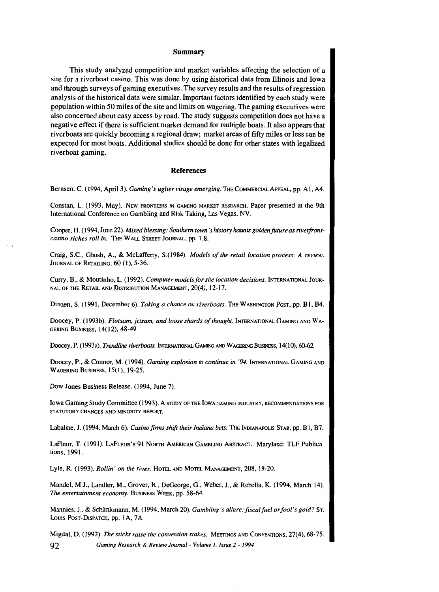## **Summary**

This study analyzed competition and market variables affecting the selection of a site for a riverboat casino. This was done by using historical data from Illinois and Iowa and through surveys of gaming executives. The survey results and the results of regression analysis of the historical data were similar. Important factors identified by each study were population within 50 miles of the site and limits on wagering. The gaming executives were also concerned about easy access by road. The study suggests competition does not have a negative effect if there is sufficient market demand for multiple boats. It also appears that riverboats are quickly becoming a regional draw; market areas of fifty miles or less can be expected for most boats. Additional studies should be done for other states with legalized riverboat gaming.

#### **References**

Bernsen. C. (1994, April3). *Gaming's uglier visage emerging.* THE CoMMERCIAL APPEAL, pp. Al, A4.

Constan, L. (1993, May). NEW FRONTIERS IN GAMING MARKET RESEARCH. Paper presented at the 9th International Conference on Gambling and Risk Taking, Las Vegas, NV.

Cooper, H. (1994, June 22). *Mixed blessing: Southern town's history haunts golden future as riverfrontcasino riches roll in.* THE WALL STREET JoURNAL, pp. 1,8.

Craig, S.C., Ghosh, A., & McLafferty, S.(l984). *Models of the retail location process: A review.*  JOURNAL OF RETAILING, 60 (1), 5-36.

Curry, B., & Moutinho, L. ( 1992). *Computer models for site location decisions.* INTERNATIONAL JouR-NAL OF THE RETAIL AND DISTRIBUTION MANAGEMENT, 20(4), 12-17.

Dinnen, S. (1991, December 6). *Taking a chance on riverboats*. The WASHINGTON Post, pp. B1, B4.

Doocey, P. (1993b). *Flotsam, jetsam, and loose shards of thought*. INTERNATIONAL GAMING AND WA-GERING BUSINESS, 14(12), 48-49

Doocey, P. (1993a). *Trendline riverboats*. INTERNATIONAL GAMING AND WAGERING BUSINESS, 14(10), 60-62.

Doocey, P., & Connor, M. (1994). *Gaming explosion to continue in '94*. INTERNATIONAL GAMING AND WAGERING BUSINESS, 15(1), 19-25.

Dow Jones Business Release. (1994, June 7).

Iowa Gaming Study Committee (1993). A STUDY OF THE IOWA GAMING INDUSTRY, RECOMMENDATIONS FOR STATUTORY CHANGES AND MINORITY REPORT.

Labalme, J. (1994, March 6). *Casino firms shift their Indiana bets.* THE INDIANAPOLIS STAR, pp. Bl, B7.

LaFleur, T. (1991). LAFLEUR's 91 NoRTH AMERICAN GAMBLING ABSTRACT. Maryland: TLF Publications, 1991.

Lyle, R. (1993). *Rollin' on the river.* HoTEL AND MoTEL MANAGEMENT, 208, 19-20.

Mandel, M.J., Landler, M., Grover, R., DeGeorge, G., Weber, J., & Rebella, K. (1994, March 14). *The entertainment economy.* BusiNESS WEEK, pp. 58-64.

Mannies, J., & Schlinkmann, M. (1994, March 20). *Gambling's allure: fiscal fuel or fool's gold?* Sr. Loms Posr-DISPATCH, pp. lA, 7A.

Migdal, D. (1992). *The sticks raise the convention stakes.* MEETINGS AND CoNVENTIONS, 27(4), 68-75. 92 *Gaming Research* & *Review Journal- Volume 1, issue* 2- *<sup>1994</sup>*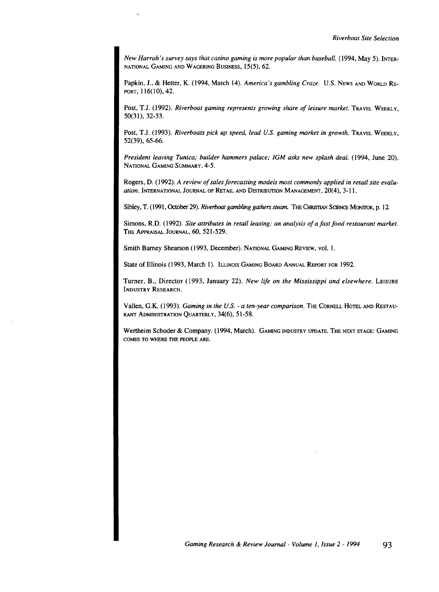*New Harrah's survey says that casino gaming is more popular than baseball.* ( 1994, May 5). INTER-NATIONAL GAMING AND WAGERING BUSINESS, 15(5), 62.

Papkin, J., & Hetter, K. (1994, March 14). *America's gambling Craze.* U.S. NEws AND WoRLD RE-PORT, 116(10), 42.

Post, T.J. (1992). *Riverboat gaming represents growing share of leisure market*. TRAVEL WEEKLY, 50(31), 32-33.

Post, T.J. (1993). *Riverboats pick up speed, lead U.S. gaming market in growth.* TRAVEL WEEKLY, 52(39), 65-66.

*President leaving Tunica; builder hammers palace; IGM asks new splash deal.* (1994, June 20). NATIONAL GAMING SUMMARY, 4-5.

Rogers, D. (1992). *A review of sales forecasting models most commonly applied in retail site evaluation.* INTERNATIONAL JOURNAL OF RETAIL AND DISTRIBUTION MANAGEMENT, 20(4), 3-11.

Sibley, T. (1991, October 29). *Riverboat gambling gathers steam*. THE CHRISTIAN SCIENCE MONITOR, p. 12.

Simons, R.D. ( 1992). *Site attributes in retail leasing: an analysis of a fast food restaurant market.*  THE APPRAISAL JOURNAL, 60, 521-529.

Smith Barney Shearson (1993, December). NATIONAL GAMING REVIEW, vol. 1.

State of Illinois (1993, March 1). ILLINOIS GAMING BOARD ANNUAL REPORT FOR 1992.

Turner, B., Director (1993, January 22). *New life on the Mississippi and elsewhere.* LEISURE INDUSTRY RESEARCH.

Vallen, G.K. (1993). *Gaming in the U.S. - a ten-year comparison*. The CORNELL HOTEL AND RESTAU-RANT ADMINISTRATION QUARTERLY, 34(6), 51-58.

Wertheim Schoder & Company. (1994, March). GAMING INDUSTRY UPDATE. THE NEXT STAGE: GAMING COMES TO WHERE THE PEOPLE ARE.